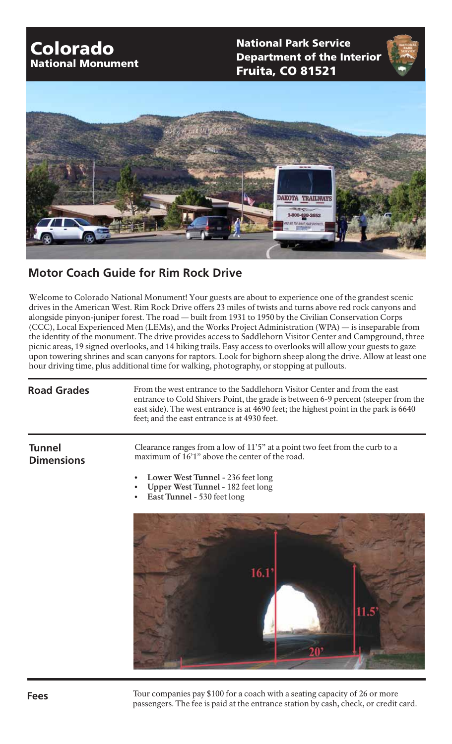## Colorado National Monument

National Park Service Fruita, CO 81521 Department of the Interior



## **Motor Coach Guide for Rim Rock Drive**

Welcome to Colorado National Monument! Your guests are about to experience one of the grandest scenic drives in the American West. Rim Rock Drive offers 23 miles of twists and turns above red rock canyons and alongside pinyon-juniper forest. The road — built from 1931 to 1950 by the Civilian Conservation Corps (CCC), Local Experienced Men (LEMs), and the Works Project Administration (WPA) — is inseparable from the identity of the monument. The drive provides access to Saddlehorn Visitor Center and Campground, three picnic areas, 19 signed overlooks, and 14 hiking trails. Easy access to overlooks will allow your guests to gaze upon towering shrines and scan canyons for raptors. Look for bighorn sheep along the drive. Allow at least one hour driving time, plus additional time for walking, photography, or stopping at pullouts.

| <b>Road Grades</b> | From the west entrance to the Saddlehorn Visitor Center and from the east<br>entrance to Cold Shivers Point, the grade is between 6-9 percent (steeper from the<br>east side). The west entrance is at 4690 feet; the highest point in the park is 6640 |
|--------------------|---------------------------------------------------------------------------------------------------------------------------------------------------------------------------------------------------------------------------------------------------------|
|                    | feet; and the east entrance is at 4930 feet.                                                                                                                                                                                                            |

## **Tunnel Dimensions**

Clearance ranges from a low of  $11'5"$  at a point two feet from the curb to a maximum of  $16'1''$  above the center of the road.

- Lower West Tunnel 236 feet long
- Upper West Tunnel 182 feet long
- East Tunnel 530 feet long



**Fees** Tour companies pay \$100 for a coach with a seating capacity of 26 or more passengers. The fee is paid at the entrance station by cash, check, or credit card.